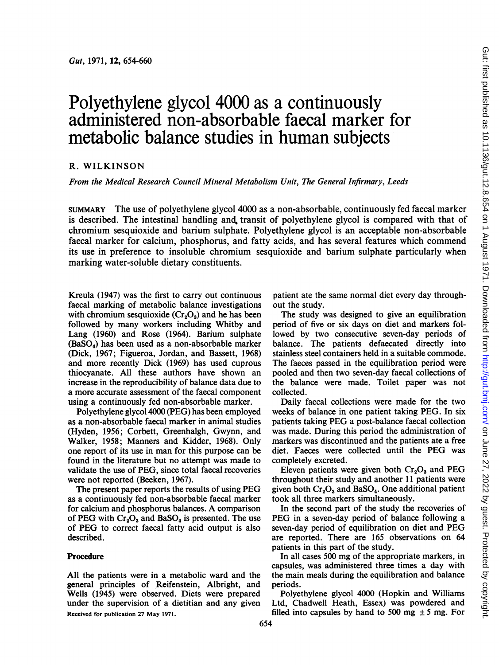# Polyethylene glycol 4000 as a continuously administered non-absorbable faecal marker for metabolic balance studies in human subjects

## R. WILKINSON

From the Medical Research Council Mineral Metabolism Unit, The General Infirmary, Leeds

SUMMARY The use of polyethylene glycol 4000 as a non-absorbable, continuously fed faecal marker is described. The intestinal handling and. transit of polyethylene glycol is compared with that of chromium sesquioxide and barium sulphate. Polyethylene glycol is an acceptable non-absorbable faecal marker for calcium, phosphorus, and fatty acids, and has several features which commend its use in preference to insoluble chromium sesquioxide and barium sulphate particularly when marking water-soluble dietary constituents.

Kreula (1947) was the first to carry out continuous faecal marking of metabolic balance investigations with chromium sesquioxide  $(Cr<sub>2</sub>O<sub>3</sub>)$  and he has been followed by many workers including Whitby and Lang (1960) and Rose (1964). Barium sulphate (BaSO4) has been used as a non-absorbable marker (Dick, 1967; Figueroa, Jordan, and Bassett, 1968) and more recently Dick (1969) has used cuprous thiocyanate. All these authors have shown an increase in the reproducibility of balance data due to a more accurate assessment of the faecal component using a continuously fed non-absorbable marker.

Polyethylene glycol 4000 (PEG) has been employed as a non-absorbable faecal marker in animal studies (Hyden, 1956; Corbett, Greenhalgh, Gwynn, and Walker, 1958; Manners and Kidder, 1968). Only one report of its use in man for this purpose can be found in the literature but no attempt was made to validate the use of PEG, since total faecal recoveries were not reported (Beeken, 1967).

The present paper reports the results of using PEG as a continuously fed non-absorbable faecal marker for calcium and phosphorus balances. A comparison of PEG with  $Cr_2O_3$  and BaSO<sub>4</sub> is presented. The use of PEG to correct faecal fatty acid output is also described.

## Procedure

All the patients were in a metabolic ward and the general principles of Reifenstein, Albright, and Wells (1945) were observed. Diets were prepared under the supervision of a dietitian and any given Received for publication 27 May 1971.

patient ate the same normal diet every day throughout the study.

The study was designed to give an equilibration period of five or six days on diet and markers followed by two consecutive seven-day periods of balance. The patients defaecated directly into stainless steel containers held in a suitable commode. The faeces passed in the equilibration period were pooled and then two seven-day faecal collections of the balance were made. Toilet paper was not collected.

Daily faecal collections were made for the two weeks of balance in one patient taking PEG. In six patients taking PEG <sup>a</sup> post-balance faecal collection was made. During this period the administration of markers was discontinued and the patients ate a free diet. Faeces were collected until the PEG was completely excreted.

Eleven patients were given both  $Cr_2O_3$  and PEG throughout their study and another 11 patients were given both  $Cr_2O_3$  and BaSO<sub>4</sub>. One additional patient took all three markers simultaneously.

In the second part of the study the recoveries of PEG in a seven-day period of balance following a seven-day period of equilibration on diet and PEG are reported. There are 165 observations on 64 patients in this part of the study.

In all cases 500 mg of the appropriate markers, in capsules, was administered three times a day with the main meals during the equilibration and balance periods.

Polyethylene glycol 4000 (Hopkin and Williams Ltd, Chadwell Heath, Essex) was powdered and filled into capsules by hand to 500 mg  $\pm$  5 mg. For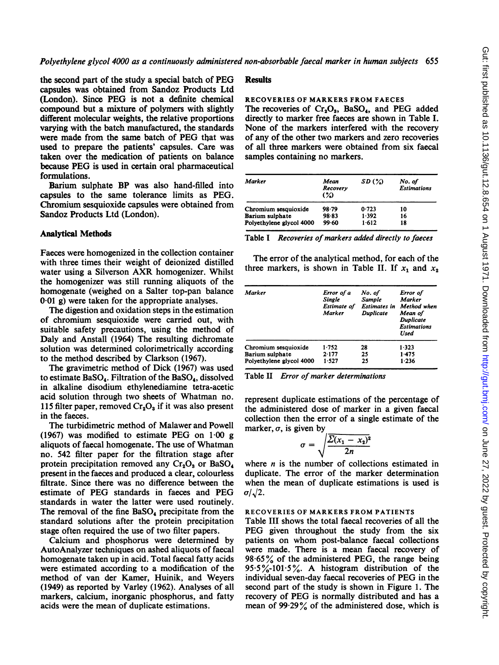the second part of the study a special batch of PEG capsules was obtained from Sandoz Products Ltd (London). Since PEG is not a definite chemical compound but a mixture of polymers with slightly different molecular weights, the relative proportions varying with the batch manufactured, the standards were made from the same batch of PEG that was used to prepare the patients' capsules. Care was taken over the medication of patients on balance because PEG is used in certain oral pharmaceutical formulations.

Barium sulphate BP was also hand-filled into capsules to the same tolerance limits as PEG. Chromium sesquioxide capsules were obtained from Sandoz Products Ltd (London).

# Analytical Methods

Faeces were homogenized in the collection container with three times their weight of deionized distilled water using <sup>a</sup> Silverson AXR homogenizer. Whilst the homogenizer was still running aliquots of the homogenate (weighed on a Salter top-pan balance 0.01 g) were taken for the appropriate analyses.

The digestion and oxidation steps in the estimation of chromium sesquioxide were carried out, with suitable safety precautions, using the method of Daly and Anstall (1964) The resulting dichromate solution was determined colorimetrically according to the method described by Clarkson (1967).

The gravimetric method of Dick (1967) was used to estimate BaSO<sub>4</sub>. Filtration of the BaSO<sub>4</sub>, dissolved in alkaline disodium ethylenediamine tetra-acetic acid solution through two sheets of Whatman no. 115 filter paper, removed  $Cr_2O_3$  if it was also present in the faeces.

The turbidimetric method of Malawer and Powell (1967) was modified to estimate PEG on  $1.00 \text{ g}$ aliquots of faecal homogenate. The use of Whatman no. 542 filter paper for the filtration stage after protein precipitation removed any  $Cr_2O_3$  or BaSO<sub>4</sub> present in the faeces and produced a clear, colourless filtrate. Since there was no difference between the estimate of PEG standards in faeces and PEG standards in water the latter were used routinely. The removal of the fine BaSO<sub>4</sub> precipitate from the standard solutions after the protein precipitation stage often required the use of two filter papers.

Calcium and phosphorus were determined by AutoAnalyzer techniques on ashed aliquots of faecal homogenate taken up in acid. Total faecal fatty acids were estimated according to a modification of the method of van der Kamer, Huinik, and Weyers (1949) as reported by Varley (1962). Analyses of all markers, calcium, inorganic phosphorus, and fatty acids were the mean of duplicate estimations.

## **Results**

#### RECOVERIES OF MARKERS FROM FAECES

The recoveries of  $Cr_2O_3$ , BaSO<sub>4</sub>, and PEG added directly to marker free faeces are shown in Table I. None of the markers interfered with the recovery of any of the other two markers and zero recoveries of all three markers were obtained from six faecal samples containing no markers.

| Marker                   | Mean<br>Recovery<br>$\mathcal{L}$ | SD(%) | No. of<br><b>Estimations</b> |
|--------------------------|-----------------------------------|-------|------------------------------|
| Chromium sesquioxide     | 98.79                             | 0.723 | 10                           |
| Barium sulphate          | 98.83                             | 1.392 | 16                           |
| Polyethylene glycol 4000 | 99.60                             | 1.612 | 18                           |
|                          |                                   |       |                              |

Table I Recoveries of markers added directly to faeces

The error of the analytical method, for each of the three markers, is shown in Table II. If  $x_1$  and  $x_2$ 

| Marker                   | Error of a<br>Single<br>Estimate of<br>Marker | No. of<br><b>Sample</b><br><b>Estimates in</b><br><b>Duplicate</b> | Error of<br>Marker<br>Method when<br>Mean of<br>Duplicate<br><b>Estimations</b><br><b>Used</b> |
|--------------------------|-----------------------------------------------|--------------------------------------------------------------------|------------------------------------------------------------------------------------------------|
| Chromium sesquioxide     | 1.752                                         | 28                                                                 | 1.323                                                                                          |
| Barium sulphate          | 2.177                                         | 25                                                                 | 1.475                                                                                          |
| Polyethylene glycol 4000 | 1.527                                         | 25                                                                 | 1.236                                                                                          |

Table II Error of marker determinations

represent duplicate estimations of the percentage of the administered dose of marker in a given faecal collection then the error of a single estimate of the marker,  $\sigma$ , is given by

$$
\sigma = \sqrt{\frac{\sum (x_1 - x_2)^2}{2n}}
$$

where  $n$  is the number of collections estimated in duplicate. The error of the marker determination when the mean of duplicate estimations is used is  $\sigma/\sqrt{2}$ .

# RECOVERIES OF MARKERS FROM PATIENTS

Table III shows the total faecal recoveries of all the PEG given throughout the study from the six patients on whom post-balance faecal collections were made. There is a mean faecal recovery of  $98.65\%$  of the administered PEG, the range being 95.5%-101.5%. A histogram distribution of the individual seven-day faecal recoveries of PEG in the second part of the study is shown in Figure 1. The recovery of PEG is normally distributed and has a mean of 99.29% of the administered dose, which is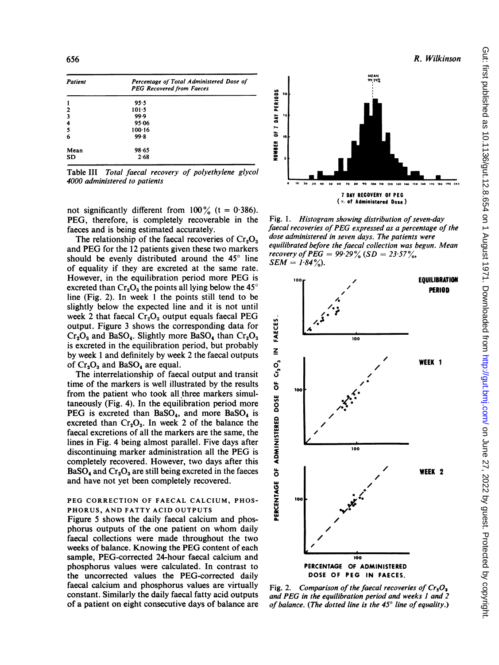| Patient                 | Percentage of Total Administered Dose of<br><b>PEG Recovered from Faeces</b> |  |  |
|-------------------------|------------------------------------------------------------------------------|--|--|
| 1                       | 95.5                                                                         |  |  |
| $\mathbf{z}$            | $101 - 5$                                                                    |  |  |
| $\overline{\mathbf{3}}$ | 99.9                                                                         |  |  |
| 4                       | 95.06                                                                        |  |  |
| 5                       | $100 - 16$                                                                   |  |  |
| 6                       | 99.8                                                                         |  |  |
| Mean                    | 98.65                                                                        |  |  |
| <b>SD</b>               | 2.68                                                                         |  |  |

Table III Total faecal recovery of polyethylene glycol 4000 administered to patients

not significantly different from  $100\%$  (t = 0.386). PEG, therefore, is completely recoverable in the faeces and is being estimated accurately.

The relationship of the faecal recoveries of  $Cr_2O_3$ and PEG for the <sup>12</sup> patients given these two markers should be evenly distributed around the  $45^\circ$  line of equality if they are excreted at the same rate. However, in the equilibration period more PEG is excreted than  $Cr_2O_3$  the points all lying below the 45° line (Fig. 2). In week <sup>1</sup> the points still tend to be slightly below the expected line and it is not until week 2 that faecal  $Cr_2O_3$  output equals faecal PEG output. Figure 3 shows the corresponding data for  $Cr_2O_3$  and BaSO<sub>4</sub>. Slightly more BaSO<sub>4</sub> than  $Cr_2O_3$ is excreted in the equilibration period, but probably by week <sup>1</sup> and definitely by week 2 the faecal outputs of  $Cr_2O_3$  and BaSO<sub>4</sub> are equal.

The interrelationship of faecal output and transit time of the markers is well illustrated by the results from the patient who took all three markers simultaneously (Fig. 4). In the equilibration period more PEG is excreted than  $BaSO<sub>4</sub>$ , and more  $BaSO<sub>4</sub>$  is excreted than  $Cr_2O_3$ . In week 2 of the balance the faecal excretions of all the markers are the same, the lines in Fig. 4 being almost parallel. Five days after discontinuing marker administration all the PEG is completely recovered. However, two days after this  $BaSO<sub>4</sub>$  and  $Cr<sub>2</sub>O<sub>3</sub>$  are still being excreted in the faeces and have not yet been completely recovered.

## PEG CORRECTION OF FAECAL CALCIUM, PHOS-PHORUS, AND FATTY ACID OUTPUTS

Figure 5 shows the daily faecal calcium and phosphorus outputs of the one patient on whom daily faecal collections were made throughout the two weeks of balance. Knowing the PEG content of each sample, PEG-corrected 24-hour faecal calcium and phosphorus values were calculated. In contrast to the uncorrected values the PEG-corrected daily faecal calcium and phosphorus values are virtually constant. Similarly the daily faecal fatty acid outputs of a patient on eight consecutive days of balance are



Fig. 1. Histogram showing distribution of seven-day faecal recoveries of PEG expressed as a percentage of the dose administered in seven days. The patients were equilibrated before the faecal collection was begun. Mean recovery of PEG =  $99.29\%$  (SD =  $23.57\%$ ,  $SEM = 1.84\%$ .



Fig. 2. Comparison of the faecal recoveries of  $Cr_2O_2$ and PEG in the equilibration period and weeks <sup>1</sup> and 2 of balance. (The dotted line is the  $45^{\circ}$  line of equality.)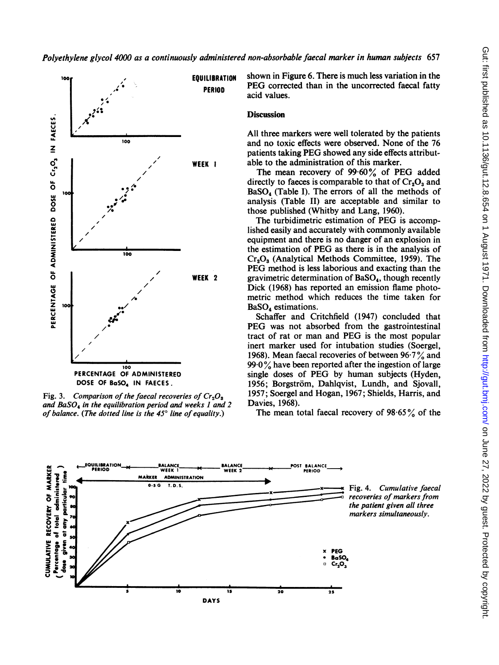

Fig. 3. Comparison of the faecal recoveries of  $Cr<sub>3</sub>O<sub>3</sub>$ and BaSO<sub>4</sub> in the equilibration period and weeks 1 and 2  $\blacksquare$  Davies, 1968). of balance. (The dotted line is the  $45^{\circ}$  line of equality.)

EQUILIBRATION shown in Figure 6. There is much less variation in the PERIOD PEG corrected than in the uncorrected faecal fatty<br>acid values.

# **Discussion**

All three markers were well tolerated by the patients and no toxic effects were observed. None of the 76 patients taking PEG showed any side effects attribut-WEEK I able to the administration of this marker.

The mean recovery of 99.60% of PEG added directly to faeces is comparable to that of  $Cr_2O_3$  and  $BaSO<sub>4</sub>$  (Table I). The errors of all the methods of analysis (Table II) are acceptable and similar to those published (Whitby and Lang, 1960).

The turbidimetric estimation of PEG is accomplished easily and accurately with commonly available equipment and there is no danger of an explosion in the estimation of PEG as there is in the analysis of  $Cr_3O_3$  (Analytical Methods Committee, 1959). The PEG method is less laborious and exacting than the **WEEK 2** gravimetric determination of  $BaSO<sub>4</sub>$ , though recently Dick (1968) has reported an emission flame photometric method which reduces the time taken for BaSO<sub>4</sub> estimations.

Schaffer and Critchfield (1947) concluded that PEG was not absorbed from the gastrointestinal tract of rat or man and PEG is the most popular inert marker used for intubation studies (Soergel, 1968). Mean faecal recoveries of between  $96.7\%$  and  $99.0\%$  have been reported after the ingestion of large single doses of PEG by human subjects (Hyden, 1956; Borgström, Dahlqvist, Lundh, and Sjovall, 1957; Soergel and Hogan, 1967; Shields, Harris, and Davies. 1968).

The mean total faecal recovery of  $98.65\%$  of the



Fig. 4. Cumulative faecal recoveries of markers from the patient given all three markers simultaneously.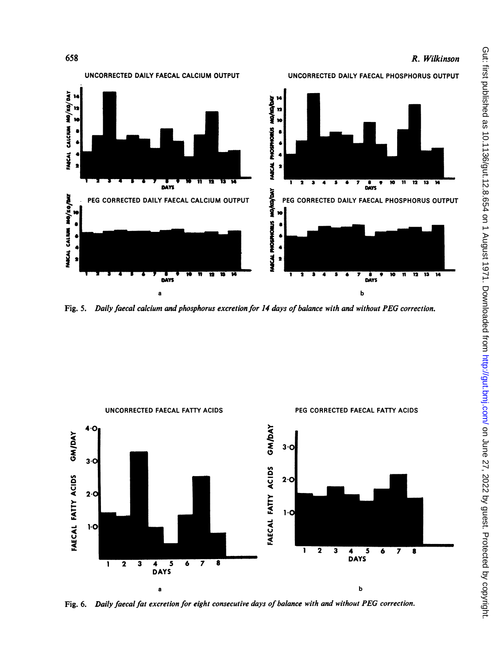

Fig. 5. Daily faecal calcium and phosphorus excretion for 14 days of balance with and without PEG correction.



Fig. 6. Daily faecal fat excretion for eight consecutive days of balance with and without PEG correction.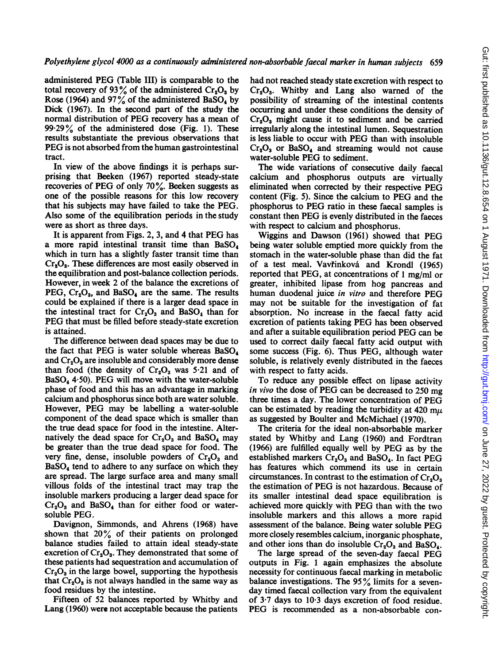administered PEG (Table III) is comparable to the total recovery of 93% of the administered  $Cr_2O_3$  by Rose (1964) and 97% of the administered BaSO<sub>4</sub> by Dick (1967). In the second part of the study the normal distribution of PEG recovery has a mean of  $99.29\%$  of the administered dose (Fig. 1). These results substantiate the previous observations that PEG is not absorbed from the human gastrointestinal tract.

In view of the above findings it is perhaps surprising that Beeken (1967) reported steady-state recoveries of PEG of only 70%. Beeken suggests as one of the possible reasons for this low recovery that his subjects may have failed to take the PEG. Also some of the equilibration periods in the study were as short as three days.

It is apparent from Figs. 2, 3, and 4 that PEG has a more rapid intestinal transit time than  $BaSO<sub>4</sub>$ which in turn has a slightly faster transit time than  $Cr<sub>s</sub>O<sub>s</sub>$ . These differences are most easily observed in the equilibration and post-balance collection periods. However, in week 2 of the balance the excretions of PEG,  $Cr_2O_3$ , and BaSO<sub>4</sub> are the same. The results could be explained if there is a larger dead space in the intestinal tract for  $Cr_2O_3$  and BaSO<sub>4</sub> than for PEG that must be filled before steady-state excretion is attained.

The difference between dead spaces may be due to the fact that PEG is water soluble whereas  $BaSO<sub>4</sub>$ and  $Cr_2O_3$  are insoluble and considerably more dense than food (the density of  $Cr_2O_3$  was 5.21 and of  $BaSO<sub>4</sub>$  4.50). PEG will move with the water-soluble phase of food and this has an advantage in marking calcium and phosphorus since both are water soluble. However, PEG may be labelling <sup>a</sup> water-soluble component of the dead space which is smaller than the true dead space for food in the intestine. Alternatively the dead space for  $Cr_2O_3$  and BaSO<sub>4</sub> may be greater than the true dead space for food. The very fine, dense, insoluble powders of  $Cr_2O_3$  and BaSO<sub>4</sub> tend to adhere to any surface on which they are spread. The large surface area and many small villous folds of the intestinal tract may trap the insoluble markers producing a larger dead space for  $Cr<sub>2</sub>O<sub>3</sub>$  and BaSO<sub>4</sub> than for either food or watersoluble PEG.

Davignon, Simmonds, and Ahrens (1968) have shown that 20% of their patients on prolonged balance studies failed to attain ideal steady-state excretion of  $Cr_2O_3$ . They demonstrated that some of these patients had sequestration and accumulation of  $Cr_2O_3$  in the large bowel, supporting the hypothesis that  $Cr_2O_3$  is not always handled in the same way as food residues by the intestine.

Fifteen of 52 balances reported by Whitby and Lang (1960) were not acceptable because the patients had not reached steady state excretion with respect to  $Cr<sub>2</sub>O<sub>3</sub>$ . Whitby and Lang also warned of the possibility of streaming of the intestinal contents occurring and under these conditions the density of  $Cr_2O_3$  might cause it to sediment and be carried irregularly along the intestinal lumen. Sequestration is less liable to occur with PEG than with insoluble  $Cr<sub>2</sub>O<sub>3</sub>$  or BaSO<sub>4</sub> and streaming would not cause water-soluble PEG to sediment.

The wide variations of consecutive daily faecal calcium and phosphorus outputs are virtually eliminated when corrected by their respective PEG content (Fig. 5). Since the calcium to PEG and the phosphorus to PEG ratio in these faecal samples is constant then PEG is evenly distributed in the faeces with respect to calcium and phosphorus.

Wiggins and Dawson (1961) showed that PEG being water soluble emptied more quickly from the stomach in the water-soluble phase than did the fat of a test meal. Vavfinkova and Krondl (1965) reported that PEG, at concentrations of <sup>1</sup> mg/ml or greater, inhibited lipase from hog pancreas and human duodenal juice in vitro and therefore PEG may not be suitable for the investigation of fat absorption. No increase in the faecal fatty acid excretion of patients taking PEG has been observed and after a suitable equilibration period PEG can be used to correct daily faecal fatty acid output with some success (Fig. 6). Thus PEG, although water soluble, is relatively evenly distributed in the faeces with respect to fatty acids.

To reduce any possible effect on lipase activity in vivo the dose of PEG can be decreased to 250 mg three times a day. The lower concentration of PEG can be estimated by reading the turbidity at 420 m $\mu$ as suggested by Boulter and McMichael (1970).

The criteria for the ideal non-absorbable marker stated by Whitby and Lang (1960) and Fordtran (1966) are fulfilled equally well by PEG as by the established markers  $Cr_2O_3$  and BaSO<sub>4</sub>. In fact PEG has features which commend its use in certain circumstances. In contrast to the estimation of  $Cr_2O_3$ the estimation of PEG is not hazardous. Because of its smaller intestinal dead space equilibration is achieved more quickly with PEG than with the two insoluble markers and this allows a more rapid assessment of the balance. Being water soluble PEG more closely resembles calcium, inorganic phosphate, and other ions than do insoluble  $Cr_2O_3$  and BaSO<sub>4</sub>.

The large spread of the seven-day faecal PEG outputs in Fig. <sup>1</sup> again emphasizes the absolute necessity for continuous faecal marking in metabolic balance investigations. The  $95\%$  limits for a sevenday timed faecal collection vary from the equivalent of 3.7 days to 10.3 days excretion of food residue. PEG is recommended as <sup>a</sup> non-absorbable con